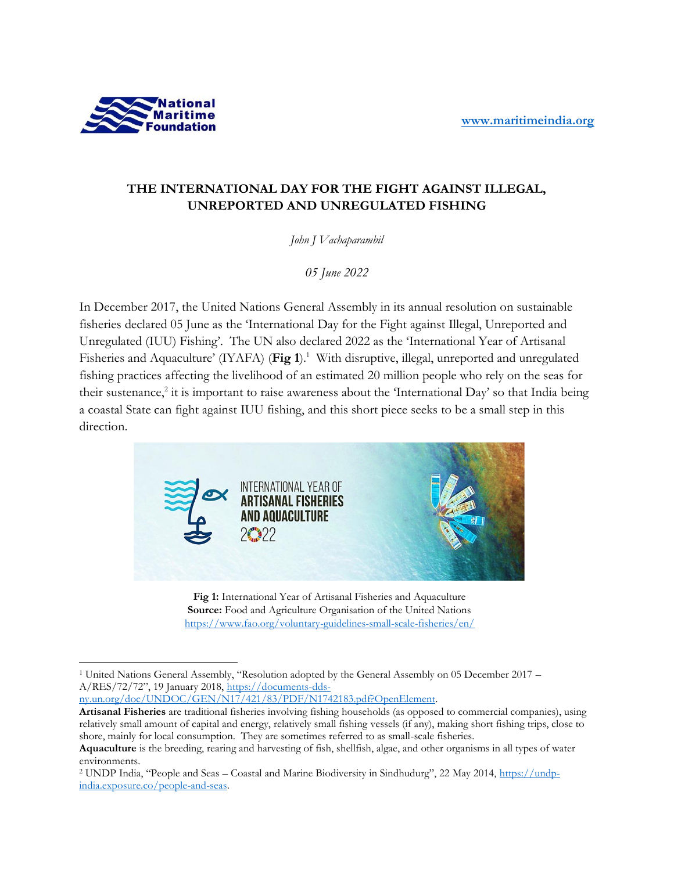

## **THE INTERNATIONAL DAY FOR THE FIGHT AGAINST ILLEGAL, UNREPORTED AND UNREGULATED FISHING**

*John J Vachaparambil*

*05 June 2022*

In December 2017, the United Nations General Assembly in its annual resolution on sustainable fisheries declared 05 June as the 'International Day for the Fight against Illegal, Unreported and Unregulated (IUU) Fishing'. The UN also declared 2022 as the 'International Year of Artisanal Fisheries and Aquaculture' (IYAFA) (**Fig 1**). 1 With disruptive, illegal, unreported and unregulated fishing practices affecting the livelihood of an estimated 20 million people who rely on the seas for their sustenance,<sup>2</sup> it is important to raise awareness about the 'International Day' so that India being a coastal State can fight against IUU fishing, and this short piece seeks to be a small step in this direction.



**Fig 1:** International Year of Artisanal Fisheries and Aquaculture **Source:** Food and Agriculture Organisation of the United Nations <https://www.fao.org/voluntary-guidelines-small-scale-fisheries/en/>

[ny.un.org/doc/UNDOC/GEN/N17/421/83/PDF/N1742183.pdf?OpenElement.](https://documents-dds-ny.un.org/doc/UNDOC/GEN/N17/421/83/PDF/N1742183.pdf?OpenElement) 

<sup>1</sup> United Nations General Assembly, "Resolution adopted by the General Assembly on 05 December 2017 – A/RES/72/72", 19 January 2018, [https://documents-dds-](https://documents-dds-ny.un.org/doc/UNDOC/GEN/N17/421/83/PDF/N1742183.pdf?OpenElement)

**Artisanal Fisheries** are traditional fisheries involving fishing households (as opposed to commercial companies), using relatively small amount of capital and energy, relatively small fishing vessels (if any), making short fishing trips, close to shore, mainly for local consumption. They are sometimes referred to as small-scale fisheries.

**Aquaculture** is the breeding, rearing and harvesting of fish, shellfish, algae, and other organisms in all types of water environments.

<sup>2</sup> UNDP India, "People and Seas – Coastal and Marine Biodiversity in Sindhudurg", 22 May 2014, [https://undp](https://undp-india.exposure.co/people-and-seas)[india.exposure.co/people-and-seas.](https://undp-india.exposure.co/people-and-seas)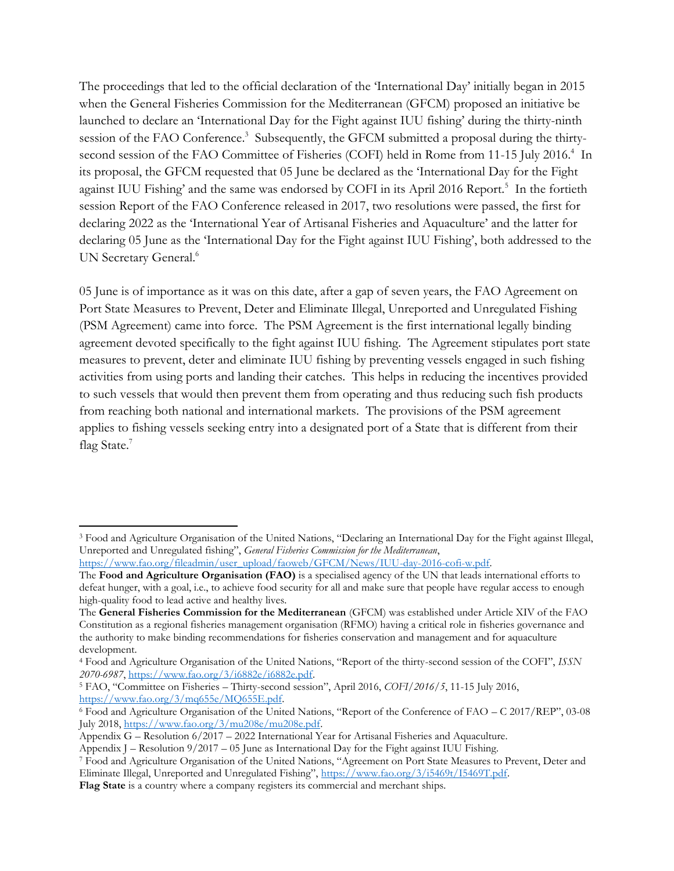The proceedings that led to the official declaration of the 'International Day' initially began in 2015 when the General Fisheries Commission for the Mediterranean (GFCM) proposed an initiative be launched to declare an 'International Day for the Fight against IUU fishing' during the thirty-ninth session of the FAO Conference.<sup>3</sup> Subsequently, the GFCM submitted a proposal during the thirtysecond session of the FAO Committee of Fisheries (COFI) held in Rome from 11-15 July 2016.<sup>4</sup> In its proposal, the GFCM requested that 05 June be declared as the 'International Day for the Fight against IUU Fishing' and the same was endorsed by COFI in its April 2016 Report.<sup>5</sup> In the fortieth session Report of the FAO Conference released in 2017, two resolutions were passed, the first for declaring 2022 as the 'International Year of Artisanal Fisheries and Aquaculture' and the latter for declaring 05 June as the 'International Day for the Fight against IUU Fishing', both addressed to the UN Secretary General.<sup>6</sup>

05 June is of importance as it was on this date, after a gap of seven years, the FAO Agreement on Port State Measures to Prevent, Deter and Eliminate Illegal, Unreported and Unregulated Fishing (PSM Agreement) came into force. The PSM Agreement is the first international legally binding agreement devoted specifically to the fight against IUU fishing. The Agreement stipulates port state measures to prevent, deter and eliminate IUU fishing by preventing vessels engaged in such fishing activities from using ports and landing their catches. This helps in reducing the incentives provided to such vessels that would then prevent them from operating and thus reducing such fish products from reaching both national and international markets. The provisions of the PSM agreement applies to fishing vessels seeking entry into a designated port of a State that is different from their flag State.<sup>7</sup>

[https://www.fao.org/fileadmin/user\\_upload/faoweb/GFCM/News/IUU-day-2016-cofi-w.pdf.](https://www.fao.org/fileadmin/user_upload/faoweb/GFCM/News/IUU-day-2016-cofi-w.pdf)

<sup>3</sup> Food and Agriculture Organisation of the United Nations, "Declaring an International Day for the Fight against Illegal, Unreported and Unregulated fishing", *General Fisheries Commission for the Mediterranean*,

The **Food and Agriculture Organisation (FAO)** is a specialised agency of the UN that leads international efforts to defeat hunger, with a goal, i.e., to achieve food security for all and make sure that people have regular access to enough high-quality food to lead active and healthy lives.

The **General Fisheries Commission for the Mediterranean** (GFCM) was established under Article XIV of the FAO Constitution as a regional fisheries management organisation (RFMO) having a critical role in fisheries governance and the authority to make binding recommendations for fisheries conservation and management and for aquaculture development.

<sup>4</sup> Food and Agriculture Organisation of the United Nations, "Report of the thirty-second session of the COFI", *ISSN 2070-6987*, [https://www.fao.org/3/i6882e/i6882e.pdf.](https://www.fao.org/3/i6882e/i6882e.pdf)

<sup>5</sup> FAO, "Committee on Fisheries – Thirty-second session", April 2016, *COFI/2016/5*, 11-15 July 2016, [https://www.fao.org/3/mq655e/MQ655E.pdf.](https://www.fao.org/3/mq655e/MQ655E.pdf)

<sup>6</sup> Food and Agriculture Organisation of the United Nations, "Report of the Conference of FAO – C 2017/REP", 03-08 July 2018[, https://www.fao.org/3/mu208e/mu208e.pdf.](https://www.fao.org/3/mu208e/mu208e.pdf)

Appendix G – Resolution 6/2017 – 2022 International Year for Artisanal Fisheries and Aquaculture.

Appendix J – Resolution  $9/2017 - 05$  June as International Day for the Fight against IUU Fishing.

<sup>7</sup> Food and Agriculture Organisation of the United Nations, "Agreement on Port State Measures to Prevent, Deter and Eliminate Illegal, Unreported and Unregulated Fishing", [https://www.fao.org/3/i5469t/I5469T.pdf.](https://www.fao.org/3/i5469t/I5469T.pdf)

**Flag State** is a country where a company registers its commercial and merchant ships.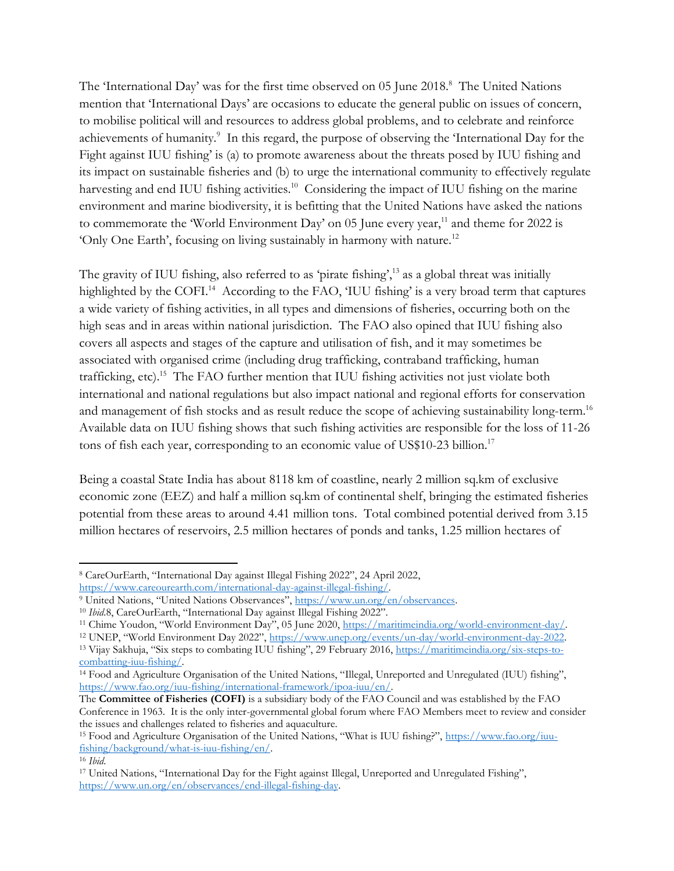The 'International Day' was for the first time observed on 05 June 2018.<sup>8</sup> The United Nations mention that 'International Days' are occasions to educate the general public on issues of concern, to mobilise political will and resources to address global problems, and to celebrate and reinforce achievements of humanity.<sup>9</sup> In this regard, the purpose of observing the 'International Day for the Fight against IUU fishing' is (a) to promote awareness about the threats posed by IUU fishing and its impact on sustainable fisheries and (b) to urge the international community to effectively regulate harvesting and end IUU fishing activities.<sup>10</sup> Considering the impact of IUU fishing on the marine environment and marine biodiversity, it is befitting that the United Nations have asked the nations to commemorate the 'World Environment Day' on  $05$  June every year,<sup>11</sup> and theme for 2022 is 'Only One Earth', focusing on living sustainably in harmony with nature.<sup>12</sup>

The gravity of IUU fishing, also referred to as 'pirate fishing',<sup>13</sup> as a global threat was initially highlighted by the COFI.<sup>14</sup> According to the FAO, 'IUU fishing' is a very broad term that captures a wide variety of fishing activities, in all types and dimensions of fisheries, occurring both on the high seas and in areas within national jurisdiction. The FAO also opined that IUU fishing also covers all aspects and stages of the capture and utilisation of fish, and it may sometimes be associated with organised crime (including drug trafficking, contraband trafficking, human trafficking, etc).<sup>15</sup> The FAO further mention that IUU fishing activities not just violate both international and national regulations but also impact national and regional efforts for conservation and management of fish stocks and as result reduce the scope of achieving sustainability long-term.<sup>16</sup> Available data on IUU fishing shows that such fishing activities are responsible for the loss of 11-26 tons of fish each year, corresponding to an economic value of US\$10-23 billion.<sup>17</sup>

Being a coastal State India has about 8118 km of coastline, nearly 2 million sq.km of exclusive economic zone (EEZ) and half a million sq.km of continental shelf, bringing the estimated fisheries potential from these areas to around 4.41 million tons. Total combined potential derived from 3.15 million hectares of reservoirs, 2.5 million hectares of ponds and tanks, 1.25 million hectares of

<sup>8</sup> CareOurEarth, "International Day against Illegal Fishing 2022", 24 April 2022, [https://www.careourearth.com/international-day-against-illegal-fishing/.](https://www.careourearth.com/international-day-against-illegal-fishing/)

<sup>9</sup> United Nations, "United Nations Observances", [https://www.un.org/en/observances.](https://www.un.org/en/observances) 

<sup>&</sup>lt;sup>10</sup> *Ibid.8*, CareOurEarth, "International Day against Illegal Fishing 2022".

<sup>&</sup>lt;sup>11</sup> Chime Youdon, "World Environment Day", 05 June 2020, https://maritimeindia.org/world-environment-day/.

<sup>12</sup> UNEP, "World Environment Day 2022", [https://www.unep.org/events/un-day/world-environment-day-2022.](https://www.unep.org/events/un-day/world-environment-day-2022) 

<sup>13</sup> Vijay Sakhuja, "Six steps to combating IUU fishing", 29 February 2016, [https://maritimeindia.org/six-steps-to](https://maritimeindia.org/six-steps-to-combatting-iuu-fishing/)[combatting-iuu-fishing/.](https://maritimeindia.org/six-steps-to-combatting-iuu-fishing/) 

<sup>14</sup> Food and Agriculture Organisation of the United Nations, "Illegal, Unreported and Unregulated (IUU) fishing", [https://www.fao.org/iuu-fishing/international-framework/ipoa-iuu/en/.](https://www.fao.org/iuu-fishing/international-framework/ipoa-iuu/en/)

The **Committee of Fisheries (COFI)** is a subsidiary body of the FAO Council and was established by the FAO Conference in 1963. It is the only inter-governmental global forum where FAO Members meet to review and consider the issues and challenges related to fisheries and aquaculture.

<sup>15</sup> Food and Agriculture Organisation of the United Nations, "What is IUU fishing?", [https://www.fao.org/iuu](https://www.fao.org/iuu-fishing/background/what-is-iuu-fishing/en/)[fishing/background/what-is-iuu-fishing/en/.](https://www.fao.org/iuu-fishing/background/what-is-iuu-fishing/en/)

<sup>16</sup> *Ibid*.

<sup>17</sup> United Nations, "International Day for the Fight against Illegal, Unreported and Unregulated Fishing", [https://www.un.org/en/observances/end-illegal-fishing-day.](https://www.un.org/en/observances/end-illegal-fishing-day)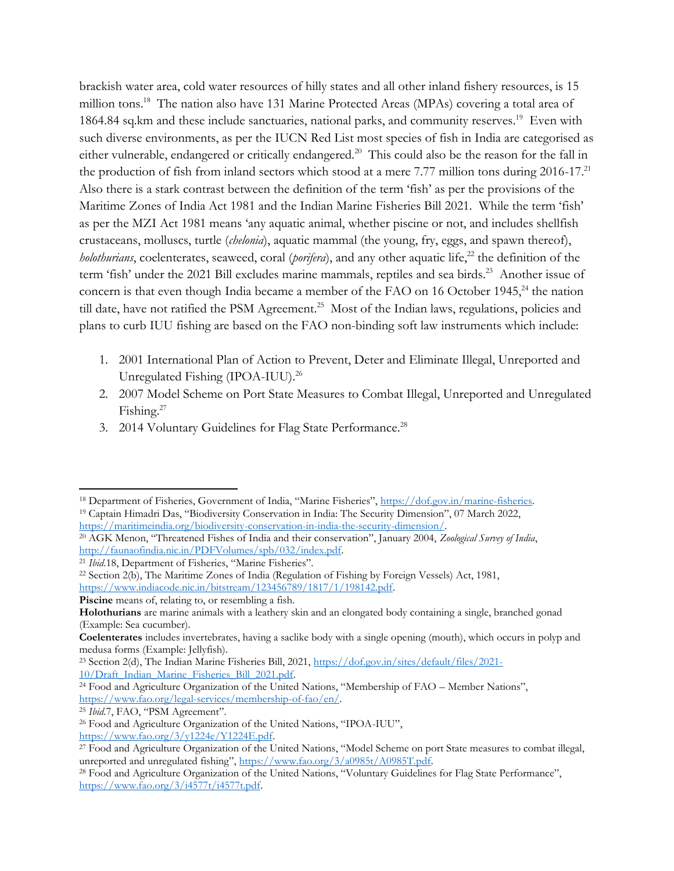brackish water area, cold water resources of hilly states and all other inland fishery resources, is 15 million tons.<sup>18</sup> The nation also have 131 Marine Protected Areas (MPAs) covering a total area of 1864.84 sq.km and these include sanctuaries, national parks, and community reserves.<sup>19</sup> Even with such diverse environments, as per the IUCN Red List most species of fish in India are categorised as either vulnerable, endangered or critically endangered.<sup>20</sup> This could also be the reason for the fall in the production of fish from inland sectors which stood at a mere 7.77 million tons during  $2016-17$ .<sup>21</sup> Also there is a stark contrast between the definition of the term 'fish' as per the provisions of the Maritime Zones of India Act 1981 and the Indian Marine Fisheries Bill 2021. While the term 'fish' as per the MZI Act 1981 means 'any aquatic animal, whether piscine or not, and includes shellfish crustaceans, molluscs, turtle (*chelonia*), aquatic mammal (the young, fry, eggs, and spawn thereof), *holothurians*, coelenterates, seaweed, coral (*porifera*), and any other aquatic life, <sup>22</sup> the definition of the term 'fish' under the 2021 Bill excludes marine mammals, reptiles and sea birds. 23 Another issue of concern is that even though India became a member of the FAO on 16 October 1945,<sup>24</sup> the nation till date, have not ratified the PSM Agreement.<sup>25</sup> Most of the Indian laws, regulations, policies and plans to curb IUU fishing are based on the FAO non-binding soft law instruments which include:

- 1. 2001 International Plan of Action to Prevent, Deter and Eliminate Illegal, Unreported and Unregulated Fishing (IPOA-IUU).<sup>26</sup>
- 2. 2007 Model Scheme on Port State Measures to Combat Illegal, Unreported and Unregulated Fishing.<sup>27</sup>
- 3. 2014 Voluntary Guidelines for Flag State Performance.<sup>28</sup>

<sup>18</sup> Department of Fisheries, Government of India, "Marine Fisheries", [https://dof.gov.in/marine-fisheries.](https://dof.gov.in/marine-fisheries) <sup>19</sup> Captain Himadri Das, "Biodiversity Conservation in India: The Security Dimension", 07 March 2022, [https://maritimeindia.org/biodiversity-conservation-in-india-the-security-dimension/.](https://maritimeindia.org/biodiversity-conservation-in-india-the-security-dimension/)

<sup>20</sup> AGK Menon, "Threatened Fishes of India and their conservation", January 2004, *Zoological Survey of India*, [http://faunaofindia.nic.in/PDFVolumes/spb/032/index.pdf.](http://faunaofindia.nic.in/PDFVolumes/spb/032/index.pdf)

<sup>&</sup>lt;sup>21</sup> *Ibid.*18, Department of Fisheries, "Marine Fisheries".

<sup>22</sup> Section 2(b), The Maritime Zones of India (Regulation of Fishing by Foreign Vessels) Act, 1981, [https://www.indiacode.nic.in/bitstream/123456789/1817/1/198142.pdf.](https://www.indiacode.nic.in/bitstream/123456789/1817/1/198142.pdf)

Piscine means of, relating to, or resembling a fish.

**Holothurians** are marine animals with a leathery skin and an elongated body containing a single, branched gonad (Example: Sea cucumber).

**Coelenterates** includes invertebrates, having a saclike body with a single opening (mouth), which occurs in polyp and medusa forms (Example: Jellyfish).

<sup>23</sup> Section 2(d), The Indian Marine Fisheries Bill, 2021, [https://dof.gov.in/sites/default/files/2021-](https://dof.gov.in/sites/default/files/2021-10/Draft_Indian_Marine_Fisheries_Bill_2021.pdf) [10/Draft\\_Indian\\_Marine\\_Fisheries\\_Bill\\_2021.pdf.](https://dof.gov.in/sites/default/files/2021-10/Draft_Indian_Marine_Fisheries_Bill_2021.pdf)

<sup>24</sup> Food and Agriculture Organization of the United Nations, "Membership of FAO – Member Nations", [https://www.fao.org/legal-services/membership-of-fao/en/.](https://www.fao.org/legal-services/membership-of-fao/en/)

<sup>25</sup> *Ibid*.7, FAO, "PSM Agreement".

<sup>26</sup> Food and Agriculture Organization of the United Nations, "IPOA-IUU", [https://www.fao.org/3/y1224e/Y1224E.pdf.](https://www.fao.org/3/y1224e/Y1224E.pdf)

<sup>&</sup>lt;sup>27</sup> Food and Agriculture Organization of the United Nations, "Model Scheme on port State measures to combat illegal, unreported and unregulated fishing", [https://www.fao.org/3/a0985t/A0985T.pdf.](https://www.fao.org/3/a0985t/A0985T.pdf)

<sup>28</sup> Food and Agriculture Organization of the United Nations, "Voluntary Guidelines for Flag State Performance", [https://www.fao.org/3/i4577t/i4577t.pdf.](https://www.fao.org/3/i4577t/i4577t.pdf)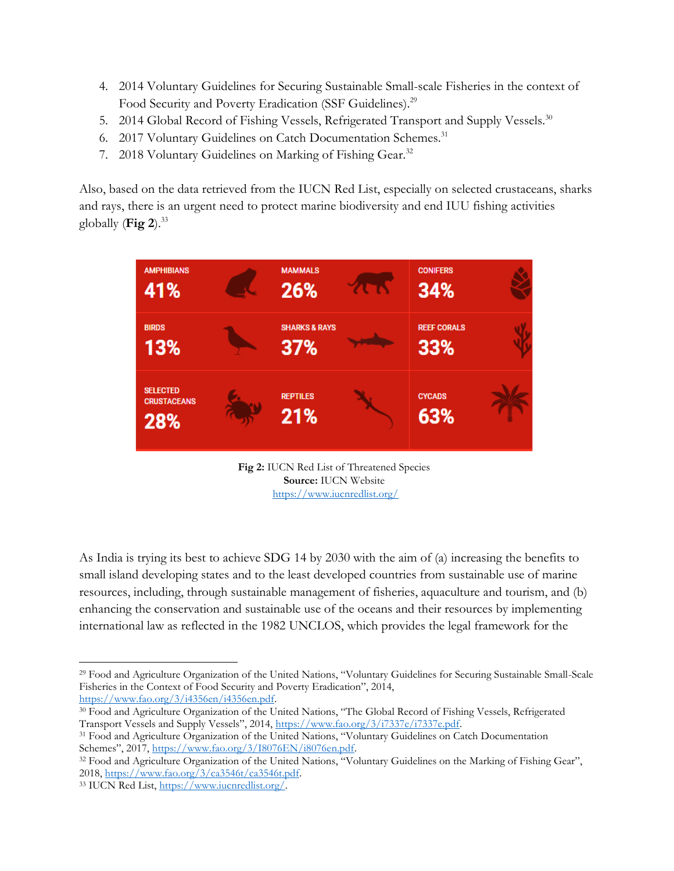- 4. 2014 Voluntary Guidelines for Securing Sustainable Small-scale Fisheries in the context of Food Security and Poverty Eradication (SSF Guidelines).<sup>29</sup>
- 5. 2014 Global Record of Fishing Vessels, Refrigerated Transport and Supply Vessels.<sup>30</sup>
- 6. 2017 Voluntary Guidelines on Catch Documentation Schemes.<sup>31</sup>
- 7. 2018 Voluntary Guidelines on Marking of Fishing Gear.<sup>32</sup>

Also, based on the data retrieved from the IUCN Red List, especially on selected crustaceans, sharks and rays, there is an urgent need to protect marine biodiversity and end IUU fishing activities globally (Fig 2).<sup>33</sup>



**Fig 2:** IUCN Red List of Threatened Species **Source:** IUCN Website <https://www.iucnredlist.org/>

As India is trying its best to achieve SDG 14 by 2030 with the aim of (a) increasing the benefits to small island developing states and to the least developed countries from sustainable use of marine resources, including, through sustainable management of fisheries, aquaculture and tourism, and (b) enhancing the conservation and sustainable use of the oceans and their resources by implementing international law as reflected in the 1982 UNCLOS, which provides the legal framework for the

<sup>29</sup> Food and Agriculture Organization of the United Nations, "Voluntary Guidelines for Securing Sustainable Small-Scale Fisheries in the Context of Food Security and Poverty Eradication", 2014, [https://www.fao.org/3/i4356en/i4356en.pdf.](https://www.fao.org/3/i4356en/i4356en.pdf)

<sup>30</sup> Food and Agriculture Organization of the United Nations, "The Global Record of Fishing Vessels, Refrigerated Transport Vessels and Supply Vessels", 2014, [https://www.fao.org/3/i7337e/i7337e.pdf.](https://www.fao.org/3/i7337e/i7337e.pdf)

<sup>31</sup> Food and Agriculture Organization of the United Nations, "Voluntary Guidelines on Catch Documentation Schemes", 2017, [https://www.fao.org/3/I8076EN/i8076en.pdf.](https://www.fao.org/3/I8076EN/i8076en.pdf)

<sup>32</sup> Food and Agriculture Organization of the United Nations, "Voluntary Guidelines on the Marking of Fishing Gear", 2018, [https://www.fao.org/3/ca3546t/ca3546t.pdf.](https://www.fao.org/3/ca3546t/ca3546t.pdf)

<sup>33</sup> IUCN Red List, [https://www.iucnredlist.org/.](https://www.iucnredlist.org/)